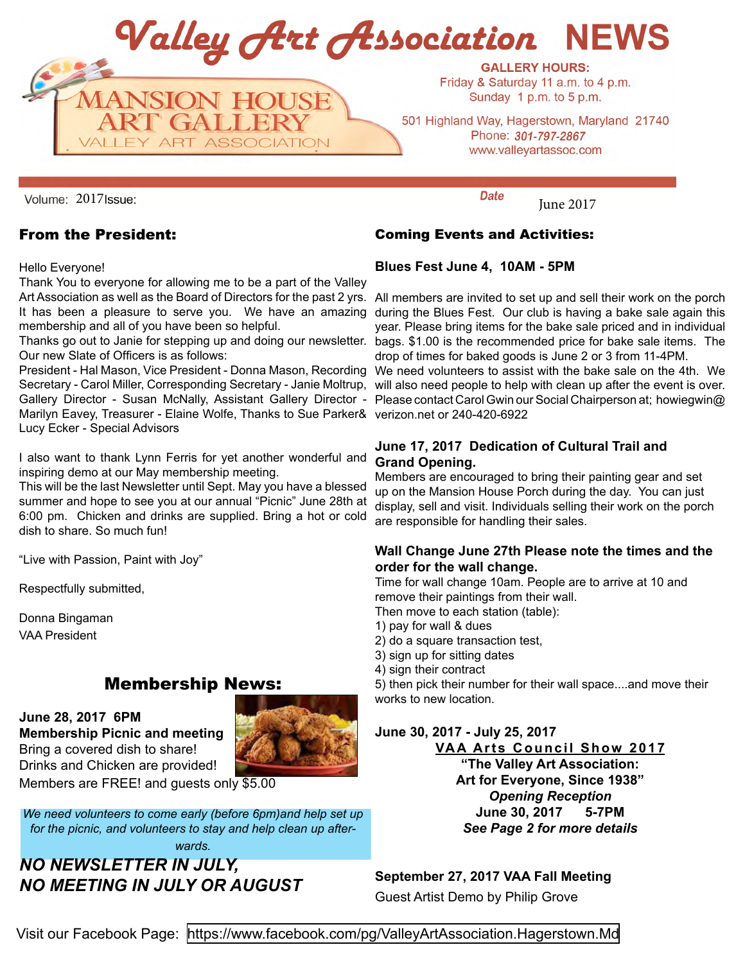Valley Art Association NEWS



**GALLERY HOURS:** Friday & Saturday 11 a.m. to 4 p.m. Sunday 1 p.m. to 5 p.m.

501 Highland Way, Hagerstown, Maryland 21740 Phone: 301-797-2867 www.valleyartassoc.com

2017 Sue: Exercísion Contractor Contractor Contractor Contractor Contractor Contractor Contractor Contractor Co<br>Contractor Contractor Contractor Contractor Contractor Contractor Contractor Contractor Contractor Contractor

#### From the President:

Hello Everyone!

Thank You to everyone for allowing me to be a part of the Valley membership and all of you have been so helpful.

Our new Slate of Officers is as follows:

Secretary - Carol Miller, Corresponding Secretary - Janie Moltrup, will also need people to help with clean up after the event is over. Marilyn Eavey, Treasurer - Elaine Wolfe, Thanks to Sue Parker& verizon.net or 240-420-6922 Gallery Director - Susan McNally, Assistant Gallery Director - Lucy Ecker - Special Advisors

I also want to thank Lynn Ferris for yet another wonderful and inspiring demo at our May membership meeting.

This will be the last Newsletter until Sept. May you have a blessed summer and hope to see you at our annual "Picnic" June 28th at 6:00 pm. Chicken and drinks are supplied. Bring a hot or cold dish to share. So much fun!

"Live with Passion, Paint with Joy"

Respectfully submitted,

Donna Bingaman VAA President

### Membership News:

**June 28, 2017 6PM Membership Picnic and meeting** Bring a covered dish to share! Drinks and Chicken are provided!



Members are FREE! and guests only \$5.00

*We need volunteers to come early (before 6pm)and help set up for the picnic, and volunteers to stay and help clean up afterwards.* 

*NO NEWSLETTER IN JULY, NO MEETING IN JULY OR AUGUST*

#### Coming Events and Activities:

**Blues Fest June 4, 10AM - 5PM**

Art Association as well as the Board of Directors for the past 2 yrs. All members are invited to set up and sell their work on the porch It has been a pleasure to serve you. We have an amazing during the Blues Fest. Our club is having a bake sale again this year. Please bring items for the bake sale priced and in individual Thanks go out to Janie for stepping up and doing our newsletter. bags. \$1.00 is the recommended price for bake sale items. The drop of times for baked goods is June 2 or 3 from 11-4PM.

President - Hal Mason, Vice President - Donna Mason, Recording We need volunteers to assist with the bake sale on the 4th. We Please contact Carol Gwin our Social Chairperson at; howiegwin@

#### **June 17, 2017 Dedication of Cultural Trail and Grand Opening.**

Members are encouraged to bring their painting gear and set up on the Mansion House Porch during the day. You can just display, sell and visit. Individuals selling their work on the porch are responsible for handling their sales.

#### **Wall Change June 27th Please note the times and the order for the wall change.**

Time for wall change 10am. People are to arrive at 10 and remove their paintings from their wall.

Then move to each station (table):

- 1) pay for wall & dues
- 2) do a square transaction test,
- 3) sign up for sitting dates
- 4) sign their contract

5) then pick their number for their wall space....and move their works to new location.

**June 30, 2017 - July 25, 2017 VAA Arts Council Show 2017 "The Valley Art Association: Art for Everyone, Since 1938"** *Opening Reception*  **June 30, 2017 5-7PM** *See Page 2 for more details*

**September 27, 2017 VAA Fall Meeting**  Guest Artist Demo by Philip Grove

Visit our Facebook Page: [https://www.facebook.com/pg/ValleyArtAssociation.Hagerstown.Md](mailto:https://www.facebook.com/pg/ValleyArtAssociation.Hagerstown.Md?subject=Facebook%20page)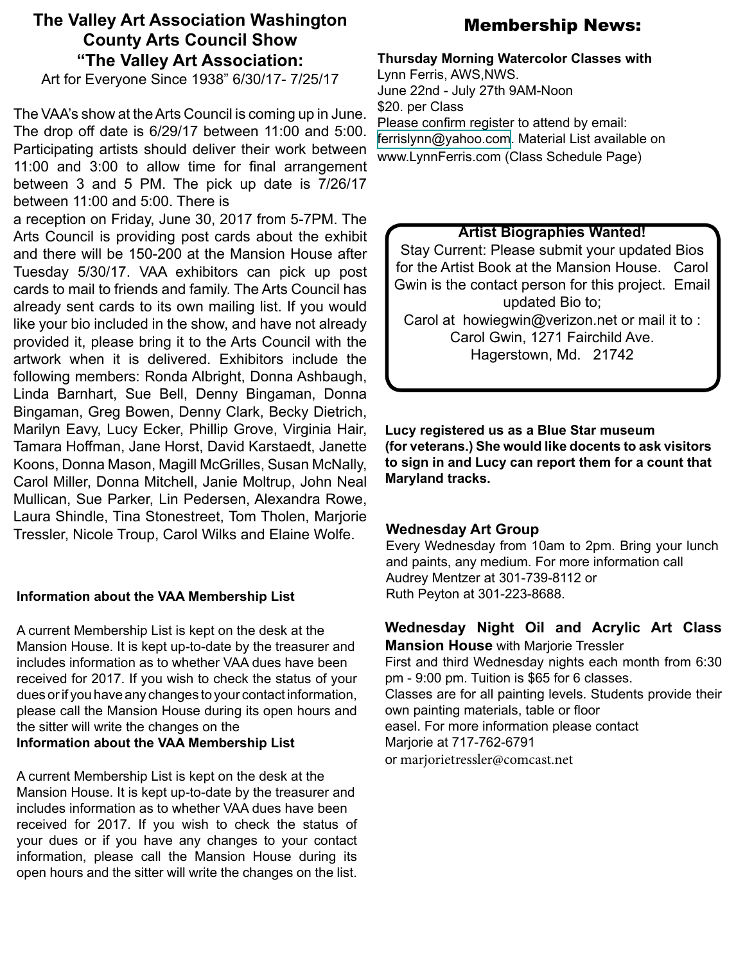# **The Valley Art Association Washington County Arts Council Show "The Valley Art Association:**

Art for Everyone Since 1938" 6/30/17- 7/25/17

The VAA's show at the Arts Council is coming up in June. The drop off date is 6/29/17 between 11:00 and 5:00. Participating artists should deliver their work between 11:00 and 3:00 to allow time for final arrangement between 3 and 5 PM. The pick up date is 7/26/17 between 11:00 and 5:00. There is

a reception on Friday, June 30, 2017 from 5-7PM. The Arts Council is providing post cards about the exhibit and there will be 150-200 at the Mansion House after Tuesday 5/30/17. VAA exhibitors can pick up post cards to mail to friends and family. The Arts Council has already sent cards to its own mailing list. If you would like your bio included in the show, and have not already provided it, please bring it to the Arts Council with the artwork when it is delivered. Exhibitors include the following members: Ronda Albright, Donna Ashbaugh, Linda Barnhart, Sue Bell, Denny Bingaman, Donna Bingaman, Greg Bowen, Denny Clark, Becky Dietrich, Marilyn Eavy, Lucy Ecker, Phillip Grove, Virginia Hair, Tamara Hoffman, Jane Horst, David Karstaedt, Janette Koons, Donna Mason, Magill McGrilles, Susan McNally, Carol Miller, Donna Mitchell, Janie Moltrup, John Neal Mullican, Sue Parker, Lin Pedersen, Alexandra Rowe, Laura Shindle, Tina Stonestreet, Tom Tholen, Marjorie Tressler, Nicole Troup, Carol Wilks and Elaine Wolfe.

#### **Information about the VAA Membership List**

A current Membership List is kept on the desk at the Mansion House. It is kept up-to-date by the treasurer and includes information as to whether VAA dues have been received for 2017. If you wish to check the status of your dues or if you have any changes to your contact information, please call the Mansion House during its open hours and the sitter will write the changes on the **Information about the VAA Membership List**

A current Membership List is kept on the desk at the Mansion House. It is kept up-to-date by the treasurer and includes information as to whether VAA dues have been received for 2017. If you wish to check the status of your dues or if you have any changes to your contact information, please call the Mansion House during its open hours and the sitter will write the changes on the list.

# Membership News:

#### **Thursday Morning Watercolor Classes with**

Lynn Ferris, AWS,NWS. June 22nd - July 27th 9AM-Noon \$20. per Class Please confirm register to attend by email: [ferrislynn@yahoo.com.](mailto:ferrislynn%40yahoo.com?subject=Thursday%20Morning%20Watercolor) Material List available on [www.LynnFerris.com](http://www.LynnFerris.com) (Class Schedule Page)

#### **Artist Biographies Wanted!**

Stay Current: Please submit your updated Bios for the Artist Book at the Mansion House. Carol Gwin is the contact person for this project. Email updated Bio to; Carol at howiegwin@verizon.net or mail it to : Carol Gwin, 1271 Fairchild Ave. Hagerstown, Md. 21742

**Lucy registered us as a Blue Star museum (for veterans.) She would like docents to ask visitors to sign in and Lucy can report them for a count that Maryland tracks.**

#### **Wednesday Art Group**

Every Wednesday from 10am to 2pm. Bring your lunch and paints, any medium. For more information call Audrey Mentzer at 301-739-8112 or Ruth Peyton at 301-223-8688.

**Wednesday Night Oil and Acrylic Art Class Mansion House** with Marjorie Tressler First and third Wednesday nights each month from 6:30 pm - 9:00 pm. Tuition is \$65 for 6 classes. Classes are for all painting levels. Students provide their own painting materials, table or floor easel. For more information please contact Marjorie at 717-762-6791

or marjorietressler@comcast.net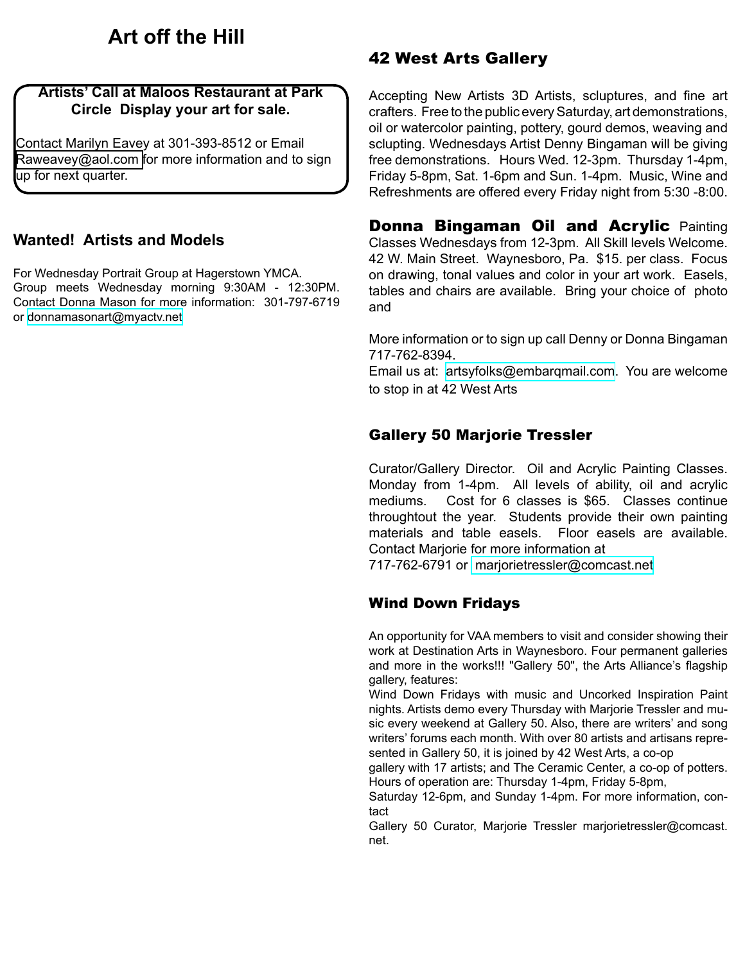# **Art off the Hill**

#### **Artists' Call at Maloos Restaurant at Park Circle Display your art for sale.**

Contact Marilyn Eavey at 301-393-8512 or Email [Raweavey@aol.com](mailto:Raweavey%40aol.com?subject=Maloos%20Restaurant%20) for more information and to sign up for next quarter.

### **Wanted! Artists and Models**

For Wednesday Portrait Group at Hagerstown YMCA. Group meets Wednesday morning 9:30AM - 12:30PM. Contact Donna Mason for more information: 301-797-6719 or [donnamasonart@myactv.net](mailto:donnamasonart%40myactv.net?subject=Wednesday%20at%20the%20YMCA)

# 42 West Arts Gallery

Accepting New Artists 3D Artists, scluptures, and fine art crafters. Free to the public every Saturday, art demonstrations, oil or watercolor painting, pottery, gourd demos, weaving and sclupting. Wednesdays Artist Denny Bingaman will be giving free demonstrations. Hours Wed. 12-3pm. Thursday 1-4pm, Friday 5-8pm, Sat. 1-6pm and Sun. 1-4pm. Music, Wine and Refreshments are offered every Friday night from 5:30 -8:00.

**Donna Bingaman Oil and Acrylic Painting** Classes Wednesdays from 12-3pm. All Skill levels Welcome. 42 W. Main Street. Waynesboro, Pa. \$15. per class. Focus on drawing, tonal values and color in your art work. Easels, tables and chairs are available. Bring your choice of photo and

More information or to sign up call Denny or Donna Bingaman 717-762-8394.

Email us at: [artsyfolks@embarqmail.com.](mailto:artsyfolks%40embarqmail.com?subject=) You are welcome to stop in at 42 West Arts

### Gallery 50 Marjorie Tressler

Curator/Gallery Director. Oil and Acrylic Painting Classes. Monday from 1-4pm. All levels of ability, oil and acrylic mediums. Cost for 6 classes is \$65. Classes continue throughtout the year. Students provide their own painting materials and table easels. Floor easels are available. Contact Marjorie for more information at

717-762-6791 or [marjorietressler@comcast.net](mailto:marjorietressler%40comcast.net?subject=Art%20Classes%20at%20Gallery%2050)

### Wind Down Fridays

An opportunity for VAA members to visit and consider showing their work at Destination Arts in Waynesboro. Four permanent galleries and more in the works!!! "Gallery 50", the Arts Alliance's flagship gallery, features:

Wind Down Fridays with music and Uncorked Inspiration Paint nights. Artists demo every Thursday with Marjorie Tressler and music every weekend at Gallery 50. Also, there are writers' and song writers' forums each month. With over 80 artists and artisans represented in Gallery 50, it is joined by 42 West Arts, a co-op

gallery with 17 artists; and The Ceramic Center, a co-op of potters. Hours of operation are: Thursday 1-4pm, Friday 5-8pm,

Saturday 12-6pm, and Sunday 1-4pm. For more information, contact

Gallery 50 Curator, Marjorie Tressler marjorietressler@comcast. net.